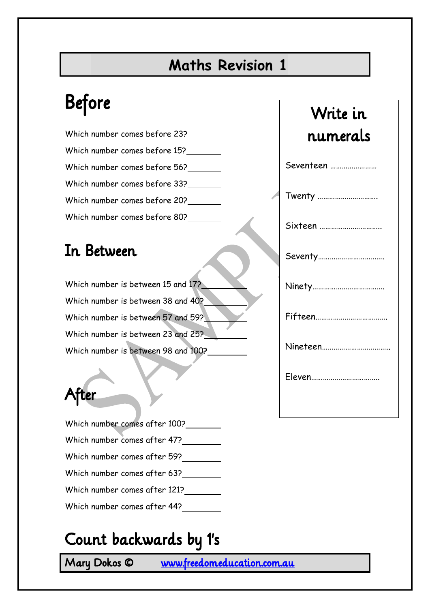#### **Maths Revision 1**

# Before

| Which number comes before 23? |
|-------------------------------|
| Which number comes before 15? |
| Which number comes before 56? |
| Which number comes before 33? |
| Which number comes before 20? |
| Which number comes before 80? |

#### In Between

| Which number is between 15 and 17?  |  |
|-------------------------------------|--|
| Which number is between 38 and 40?  |  |
| Which number is between 57 and 59?  |  |
| Which number is between 23 and 25?  |  |
| Which number is between 98 and 100? |  |

### After

| Which number comes after 100? |
|-------------------------------|
| Which number comes after 47?  |
| Which number comes after 59?  |
| Which number comes after 63?  |
| Which number comes after 121? |
| Which number comes after 44?  |

### Count backwards by 1's

Mary Dokos © [www.freedomeducation.com.au](http://www.freedomeducation.com.au/) 

## Write in numerals

| Seventeen |
|-----------|
| Twenty    |
| Sixteen   |
| Seventy   |
|           |
|           |
|           |
| Eleven    |
|           |